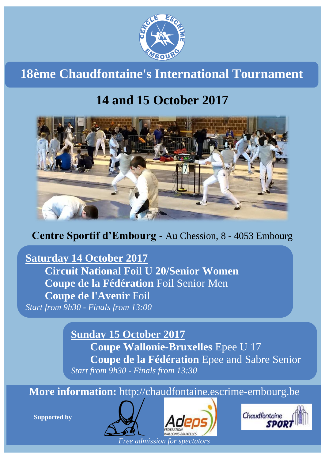

**18ème Chaudfontaine's International Tournament**

# **14 and 15 October 2017**



**Centre Sportif d'Embourg** - Au Chession, 8 - 4053 Embourg

**Saturday 14 October 2017 Circuit National Foil U 20/Senior Women Coupe de la Fédération** Foil Senior Men **Coupe de l'Avenir** Foil *Start from 9h30 - Finals from 13:00*

> **Sunday 15 October 2017 Coupe Wallonie-Bruxelles** Epee U 17 **Coupe de la Fédération** Epee and Sabre Senior *Start from 9h30 - Finals from 13:30*

**More information:** http://chaudfontaine.escrime-embourg.be

**Supported by**



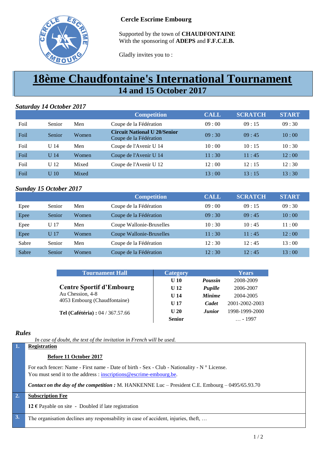

### **Cercle Escrime Embourg**

Supported by the town of **CHAUDFONTAINE** With the sponsoring of **ADEPS** and **F.F.C.E.B.**

Gladly invites you to :

# **18ème Chaudfontaine's International Tournament 14 and 15 October 2017**

## *Saturday 14 October 2017*

|      |                 |       | <b>Competition</b>                                            | <b>CALL</b> | <b>SCRATCH</b> | <b>START</b> |
|------|-----------------|-------|---------------------------------------------------------------|-------------|----------------|--------------|
| Foil | Senior          | Men   | Coupe de la Fédération                                        | 09:00       | 09:15          | 09:30        |
| Foil | Senior          | Women | <b>Circuit National U 20/Senior</b><br>Coupe de la Fédération | 09:30       | 09:45          | 10:00        |
| Foil | U $14$          | Men   | Coupe de l'Avenir U 14                                        | 10:00       | 10:15          | 10:30        |
| Foil | U <sub>14</sub> | Women | Coupe de l'Avenir U 14                                        | 11:30       | 11:45          | 12:00        |
| Foil | U <sub>12</sub> | Mixed | Coupe de l'Avenir U 12                                        | 12:00       | 12:15          | 12:30        |
| Foil | U <sub>10</sub> | Mixed |                                                               | 13:00       | 13:15          | 13:30        |

# *Sunday 15 October 2017*

|       |        |       | <b>Competition</b>       | <b>CALL</b> | <b>SCRATCH</b> | <b>START</b> |
|-------|--------|-------|--------------------------|-------------|----------------|--------------|
| Epee  | Senior | Men   | Coupe de la Fédération   | 09:00       | 09:15          | 09:30        |
| Epee  | Senior | Women | Coupe de la Fédération   | 09:30       | 09:45          | 10:00        |
| Epee  | U 17   | Men   | Coupe Wallonie-Bruxelles | 10:30       | 10:45          | 11:00        |
| Epee  | U 17   | Women | Coupe Wallonie-Bruxelles | 11:30       | 11:45          | 12:00        |
| Sabre | Senior | Men   | Coupe de la Fédération   | 12:30       | 12:45          | 13:00        |
| Sabre | Senior | Women | Coupe de la Fédération   | 12:30       | 12:45          | 13:00        |

|                  | <b>Tournament Hall</b>                    | <b>Category</b> |                | Years           |
|------------------|-------------------------------------------|-----------------|----------------|-----------------|
|                  |                                           | U 10            | <b>Poussin</b> | 2008-2009       |
|                  | <b>Centre Sportif d'Embourg</b>           | $U$ 12          | Pupille        | 2006-2007       |
| Au Chession, 4-8 |                                           | U <sub>14</sub> | <b>Minime</b>  | 2004-2005       |
|                  | 4053 Embourg (Chaudfontaine)              | U <sub>17</sub> | Cadet          | 2001-2002-2003  |
|                  | <b>Tel (Cafétéria)</b> : $04 / 367.57.66$ | U <sub>20</sub> | <b>Junior</b>  | 1998-1999-2000  |
|                  |                                           | <b>Senior</b>   |                | $\ldots$ - 1997 |

### *Rules*

*In case of doubt, the text of the invitation in French will be used.*

# **1. Registration Before 11 October 2017** For each fencer: Name - First name - Date of birth - Sex - Club - Nationality - N ° License. You must send it to the address : [inscriptions@escrime-embourg.be.](mailto:inscriptions@escrime-embourg.be) *Contact on the day of the competition :* M. HANKENNE Luc – President C.E. Embourg – 0495/65.93.70 **2. Subscription Fee 12 €** Payable on site - Doubled if late registration **3.** The organisation declines any responsability in case of accident, injuries, theft, …